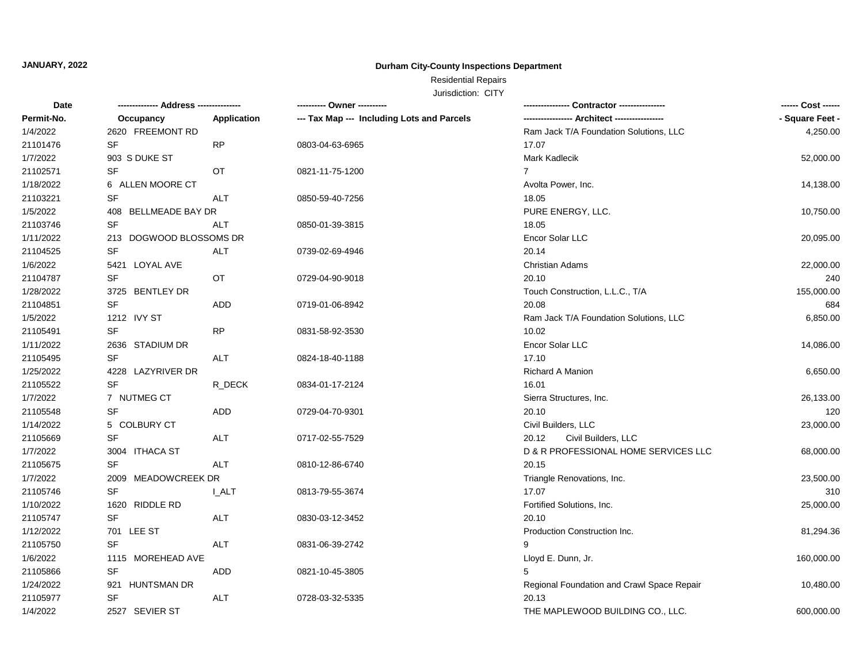#### **JANUARY, 2022**

#### **Durham City-County Inspections Department**

## Residential Repairs

| Date       | -------------- Address --------------- |             |                                            |                                               | ------ Cost ------ |
|------------|----------------------------------------|-------------|--------------------------------------------|-----------------------------------------------|--------------------|
| Permit-No. | Occupancy                              | Application | --- Tax Map --- Including Lots and Parcels | ----------------- Architect ----------------- | - Square Feet -    |
| 1/4/2022   | 2620 FREEMONT RD                       |             |                                            | Ram Jack T/A Foundation Solutions, LLC        | 4,250.00           |
| 21101476   | SF                                     | <b>RP</b>   | 0803-04-63-6965                            | 17.07                                         |                    |
| 1/7/2022   | 903 S DUKE ST                          |             |                                            | Mark Kadlecik                                 | 52,000.00          |
| 21102571   | SF                                     | OT          | 0821-11-75-1200                            | $7^{\circ}$                                   |                    |
| 1/18/2022  | 6 ALLEN MOORE CT                       |             |                                            | Avolta Power, Inc.                            | 14,138.00          |
| 21103221   | SF                                     | <b>ALT</b>  | 0850-59-40-7256                            | 18.05                                         |                    |
| 1/5/2022   | 408 BELLMEADE BAY DR                   |             |                                            | PURE ENERGY, LLC.                             | 10,750.00          |
| 21103746   | SF                                     | <b>ALT</b>  | 0850-01-39-3815                            | 18.05                                         |                    |
| 1/11/2022  | 213 DOGWOOD BLOSSOMS DR                |             |                                            | Encor Solar LLC                               | 20,095.00          |
| 21104525   | <b>SF</b>                              | <b>ALT</b>  | 0739-02-69-4946                            | 20.14                                         |                    |
| 1/6/2022   | 5421 LOYAL AVE                         |             |                                            | <b>Christian Adams</b>                        | 22,000.00          |
| 21104787   | SF                                     | OT          | 0729-04-90-9018                            | 20.10                                         | 240                |
| 1/28/2022  | 3725 BENTLEY DR                        |             |                                            | Touch Construction, L.L.C., T/A               | 155,000.00         |
| 21104851   | SF                                     | <b>ADD</b>  | 0719-01-06-8942                            | 20.08                                         | 684                |
| 1/5/2022   | 1212 IVY ST                            |             |                                            | Ram Jack T/A Foundation Solutions, LLC        | 6,850.00           |
| 21105491   | SF                                     | <b>RP</b>   | 0831-58-92-3530                            | 10.02                                         |                    |
| 1/11/2022  | 2636 STADIUM DR                        |             |                                            | Encor Solar LLC                               | 14,086.00          |
| 21105495   | <b>SF</b>                              | <b>ALT</b>  | 0824-18-40-1188                            | 17.10                                         |                    |
| 1/25/2022  | 4228 LAZYRIVER DR                      |             |                                            | <b>Richard A Manion</b>                       | 6,650.00           |
| 21105522   | SF                                     | R_DECK      | 0834-01-17-2124                            | 16.01                                         |                    |
| 1/7/2022   | 7 NUTMEG CT                            |             |                                            | Sierra Structures, Inc.                       | 26,133.00          |
| 21105548   | <b>SF</b>                              | <b>ADD</b>  | 0729-04-70-9301                            | 20.10                                         | 120                |
| 1/14/2022  | 5 COLBURY CT                           |             |                                            | Civil Builders, LLC                           | 23,000.00          |
| 21105669   | <b>SF</b>                              | <b>ALT</b>  | 0717-02-55-7529                            | 20.12<br>Civil Builders, LLC                  |                    |
| 1/7/2022   | 3004 ITHACA ST                         |             |                                            | D & R PROFESSIONAL HOME SERVICES LLC          | 68,000.00          |
| 21105675   | SF                                     | ALT         | 0810-12-86-6740                            | 20.15                                         |                    |
| 1/7/2022   | 2009 MEADOWCREEK DR                    |             |                                            | Triangle Renovations, Inc.                    | 23,500.00          |
| 21105746   | <b>SF</b>                              | <b>LALT</b> | 0813-79-55-3674                            | 17.07                                         | 310                |
| 1/10/2022  | 1620 RIDDLE RD                         |             |                                            | Fortified Solutions, Inc.                     | 25,000.00          |
| 21105747   | SF                                     | <b>ALT</b>  | 0830-03-12-3452                            | 20.10                                         |                    |
| 1/12/2022  | 701 LEE ST                             |             |                                            | Production Construction Inc.                  | 81,294.36          |
| 21105750   | <b>SF</b>                              | <b>ALT</b>  | 0831-06-39-2742                            | 9                                             |                    |
| 1/6/2022   | 1115 MOREHEAD AVE                      |             |                                            | Lloyd E. Dunn, Jr.                            | 160,000.00         |
| 21105866   | SF                                     | ADD         | 0821-10-45-3805                            | 5                                             |                    |
| 1/24/2022  | 921 HUNTSMAN DR                        |             |                                            | Regional Foundation and Crawl Space Repair    | 10,480.00          |
| 21105977   | <b>SF</b>                              | <b>ALT</b>  | 0728-03-32-5335                            | 20.13                                         |                    |
| 1/4/2022   | 2527 SEVIER ST                         |             |                                            | THE MAPLEWOOD BUILDING CO., LLC.              | 600,000.00         |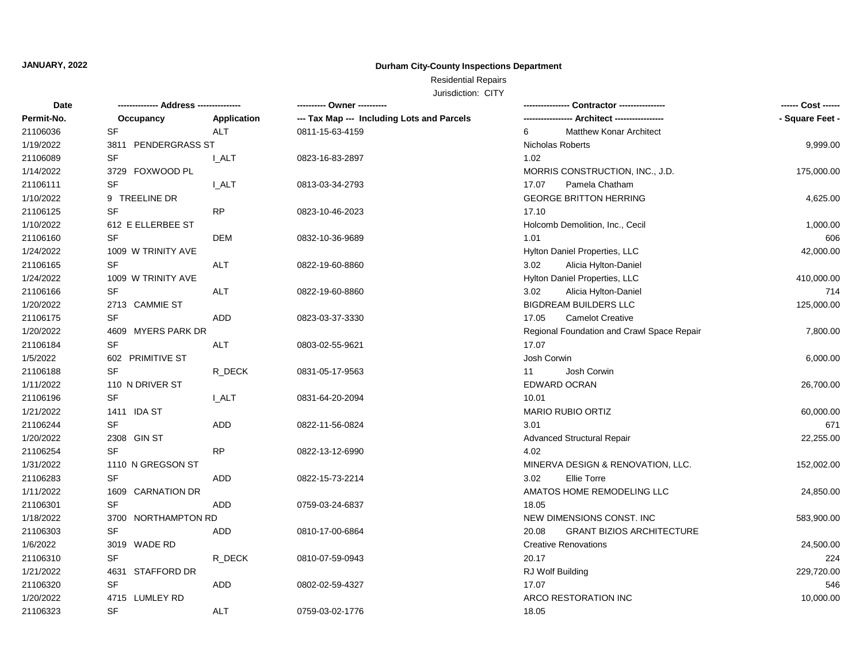## Residential Repairs

| Date       |                     |             | ---------- Owner ----------                | - Contractor ---------------               | ------ Cost ------ |
|------------|---------------------|-------------|--------------------------------------------|--------------------------------------------|--------------------|
| Permit-No. | Occupancy           | Application | --- Tax Map --- Including Lots and Parcels |                                            | - Square Feet -    |
| 21106036   | <b>SF</b>           | <b>ALT</b>  | 0811-15-63-4159                            | <b>Matthew Konar Architect</b><br>6        |                    |
| 1/19/2022  | 3811 PENDERGRASS ST |             |                                            | <b>Nicholas Roberts</b>                    | 9,999.00           |
| 21106089   | SF                  | I ALT       | 0823-16-83-2897                            | 1.02                                       |                    |
| 1/14/2022  | 3729 FOXWOOD PL     |             |                                            | MORRIS CONSTRUCTION, INC., J.D.            | 175,000.00         |
| 21106111   | SF                  | <b>LALT</b> | 0813-03-34-2793                            | 17.07<br>Pamela Chatham                    |                    |
| 1/10/2022  | 9 TREELINE DR       |             |                                            | <b>GEORGE BRITTON HERRING</b>              | 4,625.00           |
| 21106125   | <b>SF</b>           | <b>RP</b>   | 0823-10-46-2023                            | 17.10                                      |                    |
| 1/10/2022  | 612 E ELLERBEE ST   |             |                                            | Holcomb Demolition, Inc., Cecil            | 1,000.00           |
| 21106160   | SF                  | <b>DEM</b>  | 0832-10-36-9689                            | 1.01                                       | 606                |
| 1/24/2022  | 1009 W TRINITY AVE  |             |                                            | Hylton Daniel Properties, LLC              | 42,000.00          |
| 21106165   | SF                  | ALT         | 0822-19-60-8860                            | 3.02<br>Alicia Hylton-Daniel               |                    |
| 1/24/2022  | 1009 W TRINITY AVE  |             |                                            | Hylton Daniel Properties, LLC              | 410,000.00         |
| 21106166   | SF                  | <b>ALT</b>  | 0822-19-60-8860                            | 3.02<br>Alicia Hylton-Daniel               | 714                |
| 1/20/2022  | 2713 CAMMIE ST      |             |                                            | <b>BIGDREAM BUILDERS LLC</b>               | 125,000.00         |
| 21106175   | <b>SF</b>           | <b>ADD</b>  | 0823-03-37-3330                            | <b>Camelot Creative</b><br>17.05           |                    |
| 1/20/2022  | 4609 MYERS PARK DR  |             |                                            | Regional Foundation and Crawl Space Repair | 7,800.00           |
| 21106184   | SF                  | ALT         | 0803-02-55-9621                            | 17.07                                      |                    |
| 1/5/2022   | 602 PRIMITIVE ST    |             |                                            | Josh Corwin                                | 6,000.00           |
| 21106188   | <b>SF</b>           | R DECK      | 0831-05-17-9563                            | Josh Corwin<br>11                          |                    |
| 1/11/2022  | 110 N DRIVER ST     |             |                                            | <b>EDWARD OCRAN</b>                        | 26,700.00          |
| 21106196   | <b>SF</b>           | <b>LALT</b> | 0831-64-20-2094                            | 10.01                                      |                    |
| 1/21/2022  | 1411 IDA ST         |             |                                            | <b>MARIO RUBIO ORTIZ</b>                   | 60,000.00          |
| 21106244   | SF                  | ADD         | 0822-11-56-0824                            | 3.01                                       | 671                |
| 1/20/2022  | 2308 GIN ST         |             |                                            | <b>Advanced Structural Repair</b>          | 22,255.00          |
| 21106254   | <b>SF</b>           | <b>RP</b>   | 0822-13-12-6990                            | 4.02                                       |                    |
| 1/31/2022  | 1110 N GREGSON ST   |             |                                            | MINERVA DESIGN & RENOVATION, LLC.          | 152,002.00         |
| 21106283   | <b>SF</b>           | <b>ADD</b>  | 0822-15-73-2214                            | 3.02<br><b>Ellie Torre</b>                 |                    |
| 1/11/2022  | 1609 CARNATION DR   |             |                                            | AMATOS HOME REMODELING LLC                 | 24,850.00          |
| 21106301   | SF                  | ADD         | 0759-03-24-6837                            | 18.05                                      |                    |
| 1/18/2022  | 3700 NORTHAMPTON RD |             |                                            | NEW DIMENSIONS CONST. INC                  | 583,900.00         |
| 21106303   | SF                  | <b>ADD</b>  | 0810-17-00-6864                            | <b>GRANT BIZIOS ARCHITECTURE</b><br>20.08  |                    |
| 1/6/2022   | 3019 WADE RD        |             |                                            | <b>Creative Renovations</b>                | 24,500.00          |
| 21106310   | SF                  | R_DECK      | 0810-07-59-0943                            | 20.17                                      | 224                |
| 1/21/2022  | 4631 STAFFORD DR    |             |                                            | RJ Wolf Building                           | 229,720.00         |
| 21106320   | <b>SF</b>           | <b>ADD</b>  | 0802-02-59-4327                            | 17.07                                      | 546                |
| 1/20/2022  | 4715 LUMLEY RD      |             |                                            | ARCO RESTORATION INC                       | 10,000.00          |
| 21106323   | SF                  | <b>ALT</b>  | 0759-03-02-1776                            | 18.05                                      |                    |
|            |                     |             |                                            |                                            |                    |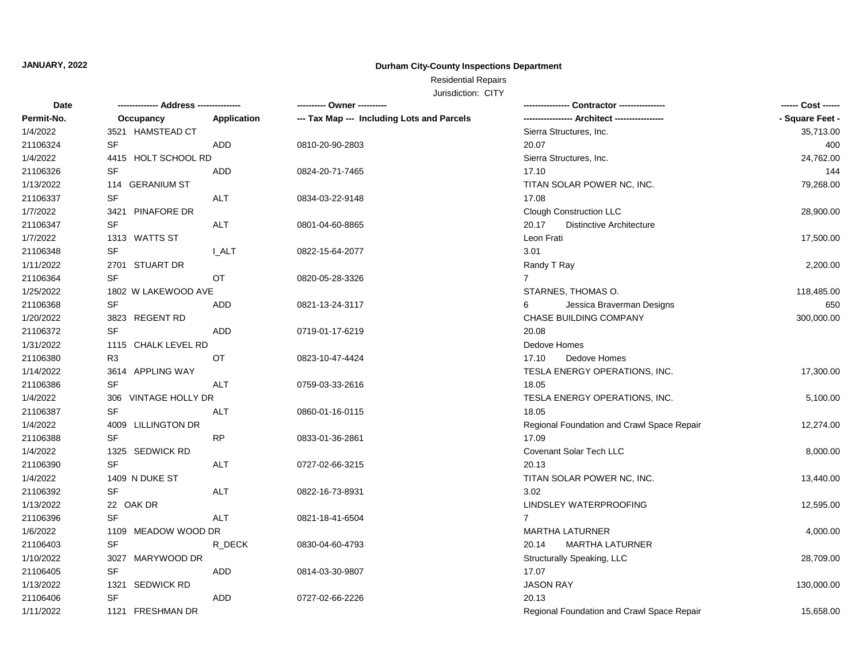## Residential Repairs

| Date       | -------------- Address --------------- |             | ---------- Owner ----------                |                                            | ------ Cost ------ |
|------------|----------------------------------------|-------------|--------------------------------------------|--------------------------------------------|--------------------|
| Permit-No. | Occupancy                              | Application | --- Tax Map --- Including Lots and Parcels |                                            | - Square Feet -    |
| 1/4/2022   | 3521 HAMSTEAD CT                       |             |                                            | Sierra Structures, Inc.                    | 35,713.00          |
| 21106324   | SF                                     | ADD         | 0810-20-90-2803                            | 20.07                                      | 400                |
| 1/4/2022   | 4415 HOLT SCHOOL RD                    |             |                                            | Sierra Structures, Inc.                    | 24,762.00          |
| 21106326   | <b>SF</b>                              | <b>ADD</b>  | 0824-20-71-7465                            | 17.10                                      | 144                |
| 1/13/2022  | 114 GERANIUM ST                        |             |                                            | TITAN SOLAR POWER NC, INC.                 | 79,268.00          |
| 21106337   | SF                                     | ALT         | 0834-03-22-9148                            | 17.08                                      |                    |
| 1/7/2022   | 3421 PINAFORE DR                       |             |                                            | Clough Construction LLC                    | 28,900.00          |
| 21106347   | SF                                     | <b>ALT</b>  | 0801-04-60-8865                            | 20.17<br><b>Distinctive Architecture</b>   |                    |
| 1/7/2022   | 1313 WATTS ST                          |             |                                            | Leon Frati                                 | 17,500.00          |
| 21106348   | <b>SF</b>                              | I ALT       | 0822-15-64-2077                            | 3.01                                       |                    |
| 1/11/2022  | 2701 STUART DR                         |             |                                            | Randy T Ray                                | 2,200.00           |
| 21106364   | <b>SF</b>                              | OT.         | 0820-05-28-3326                            | $7^{\circ}$                                |                    |
| 1/25/2022  | 1802 W LAKEWOOD AVE                    |             |                                            | STARNES, THOMAS O.                         | 118,485.00         |
| 21106368   | <b>SF</b>                              | <b>ADD</b>  | 0821-13-24-3117                            | Jessica Braverman Designs<br>6             | 650                |
| 1/20/2022  | 3823 REGENT RD                         |             |                                            | CHASE BUILDING COMPANY                     | 300,000.00         |
| 21106372   | SF                                     | ADD.        | 0719-01-17-6219                            | 20.08                                      |                    |
| 1/31/2022  | 1115 CHALK LEVEL RD                    |             |                                            | Dedove Homes                               |                    |
| 21106380   | R <sub>3</sub>                         | OT          | 0823-10-47-4424                            | 17.10<br>Dedove Homes                      |                    |
| 1/14/2022  | 3614 APPLING WAY                       |             |                                            | TESLA ENERGY OPERATIONS, INC.              | 17,300.00          |
| 21106386   | SF                                     | ALT         | 0759-03-33-2616                            | 18.05                                      |                    |
| 1/4/2022   | 306 VINTAGE HOLLY DR                   |             |                                            | TESLA ENERGY OPERATIONS, INC.              | 5,100.00           |
| 21106387   | SF                                     | <b>ALT</b>  | 0860-01-16-0115                            | 18.05                                      |                    |
| 1/4/2022   | 4009 LILLINGTON DR                     |             |                                            | Regional Foundation and Crawl Space Repair | 12,274.00          |
| 21106388   | <b>SF</b>                              | <b>RP</b>   | 0833-01-36-2861                            | 17.09                                      |                    |
| 1/4/2022   | 1325 SEDWICK RD                        |             |                                            | Covenant Solar Tech LLC                    | 8,000.00           |
| 21106390   | <b>SF</b>                              | <b>ALT</b>  | 0727-02-66-3215                            | 20.13                                      |                    |
| 1/4/2022   | 1409 N DUKE ST                         |             |                                            | TITAN SOLAR POWER NC, INC.                 | 13,440.00          |
| 21106392   | SF                                     | ALT         | 0822-16-73-8931                            | 3.02                                       |                    |
| 1/13/2022  | 22 OAK DR                              |             |                                            | LINDSLEY WATERPROOFING                     | 12,595.00          |
| 21106396   | SF                                     | <b>ALT</b>  | 0821-18-41-6504                            | $\overline{7}$                             |                    |
| 1/6/2022   | 1109 MEADOW WOOD DR                    |             |                                            | <b>MARTHA LATURNER</b>                     | 4,000.00           |
| 21106403   | SF                                     | R_DECK      | 0830-04-60-4793                            | <b>MARTHA LATURNER</b><br>20.14            |                    |
| 1/10/2022  | 3027 MARYWOOD DR                       |             |                                            | Structurally Speaking, LLC                 | 28,709.00          |
| 21106405   | SF                                     | <b>ADD</b>  | 0814-03-30-9807                            | 17.07                                      |                    |
| 1/13/2022  | 1321 SEDWICK RD                        |             |                                            | <b>JASON RAY</b>                           | 130,000.00         |
| 21106406   | SF                                     | <b>ADD</b>  | 0727-02-66-2226                            | 20.13                                      |                    |
| 1/11/2022  | 1121 FRESHMAN DR                       |             |                                            | Regional Foundation and Crawl Space Repair | 15,658.00          |
|            |                                        |             |                                            |                                            |                    |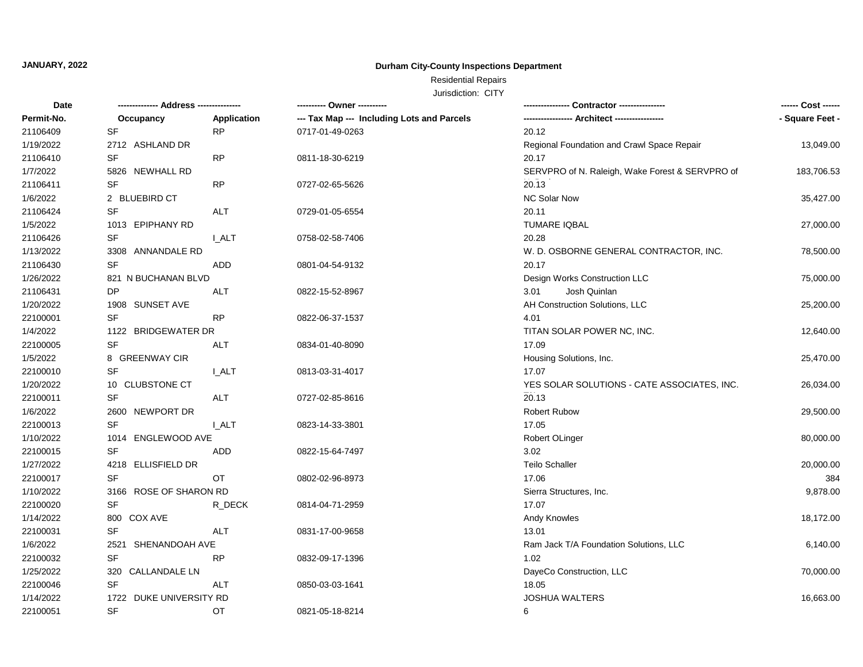## Residential Repairs

| Date       | -------------- Address --------------- |              | ---------- Owner ----------                |                                                 |                 |
|------------|----------------------------------------|--------------|--------------------------------------------|-------------------------------------------------|-----------------|
| Permit-No. | Occupancy                              | Application  | --- Tax Map --- Including Lots and Parcels | ---------------- Architect -----------------    | - Square Feet - |
| 21106409   | <b>SF</b>                              | <b>RP</b>    | 0717-01-49-0263                            | 20.12                                           |                 |
| 1/19/2022  | 2712 ASHLAND DR                        |              |                                            | Regional Foundation and Crawl Space Repair      | 13,049.00       |
| 21106410   | SF                                     | <b>RP</b>    | 0811-18-30-6219                            | 20.17                                           |                 |
| 1/7/2022   | 5826 NEWHALL RD                        |              |                                            | SERVPRO of N. Raleigh, Wake Forest & SERVPRO of | 183,706.53      |
| 21106411   | SF                                     | <b>RP</b>    | 0727-02-65-5626                            | 20.13                                           |                 |
| 1/6/2022   | 2 BLUEBIRD CT                          |              |                                            | <b>NC Solar Now</b>                             | 35,427.00       |
| 21106424   | SF                                     | <b>ALT</b>   | 0729-01-05-6554                            | 20.11                                           |                 |
| 1/5/2022   | 1013 EPIPHANY RD                       |              |                                            | <b>TUMARE IQBAL</b>                             | 27,000.00       |
| 21106426   | SF                                     | <b>LALT</b>  | 0758-02-58-7406                            | 20.28                                           |                 |
| 1/13/2022  | 3308 ANNANDALE RD                      |              |                                            | W. D. OSBORNE GENERAL CONTRACTOR, INC.          | 78,500.00       |
| 21106430   | SF                                     | ADD          | 0801-04-54-9132                            | 20.17                                           |                 |
| 1/26/2022  | 821 N BUCHANAN BLVD                    |              |                                            | Design Works Construction LLC                   | 75,000.00       |
| 21106431   | DP                                     | <b>ALT</b>   | 0822-15-52-8967                            | Josh Quinlan<br>3.01                            |                 |
| 1/20/2022  | 1908 SUNSET AVE                        |              |                                            | AH Construction Solutions, LLC                  | 25,200.00       |
| 22100001   | <b>SF</b>                              | <b>RP</b>    | 0822-06-37-1537                            | 4.01                                            |                 |
| 1/4/2022   | 1122 BRIDGEWATER DR                    |              |                                            | TITAN SOLAR POWER NC, INC.                      | 12,640.00       |
| 22100005   | SF                                     | ALT          | 0834-01-40-8090                            | 17.09                                           |                 |
| 1/5/2022   | 8 GREENWAY CIR                         |              |                                            | Housing Solutions, Inc.                         | 25,470.00       |
| 22100010   | <b>SF</b>                              | <b>I_ALT</b> | 0813-03-31-4017                            | 17.07                                           |                 |
| 1/20/2022  | 10 CLUBSTONE CT                        |              |                                            | YES SOLAR SOLUTIONS - CATE ASSOCIATES, INC.     | 26,034.00       |
| 22100011   | SF                                     | ALT          | 0727-02-85-8616                            | 20.13                                           |                 |
| 1/6/2022   | 2600 NEWPORT DR                        |              |                                            | <b>Robert Rubow</b>                             | 29,500.00       |
| 22100013   | <b>SF</b>                              | <b>LALT</b>  | 0823-14-33-3801                            | 17.05                                           |                 |
| 1/10/2022  | 1014 ENGLEWOOD AVE                     |              |                                            | Robert OLinger                                  | 80,000.00       |
| 22100015   | SF                                     | ADD          | 0822-15-64-7497                            | 3.02                                            |                 |
| 1/27/2022  | 4218 ELLISFIELD DR                     |              |                                            | <b>Teilo Schaller</b>                           | 20,000.00       |
| 22100017   | <b>SF</b>                              | <b>OT</b>    | 0802-02-96-8973                            | 17.06                                           | 384             |
| 1/10/2022  | 3166 ROSE OF SHARON RD                 |              |                                            | Sierra Structures, Inc.                         | 9,878.00        |
| 22100020   | SF                                     | R_DECK       | 0814-04-71-2959                            | 17.07                                           |                 |
| 1/14/2022  | 800 COX AVE                            |              |                                            | <b>Andy Knowles</b>                             | 18,172.00       |
| 22100031   | SF                                     | ALT          | 0831-17-00-9658                            | 13.01                                           |                 |
| 1/6/2022   | 2521 SHENANDOAH AVE                    |              |                                            | Ram Jack T/A Foundation Solutions, LLC          | 6,140.00        |
| 22100032   | SF                                     | <b>RP</b>    | 0832-09-17-1396                            | 1.02                                            |                 |
| 1/25/2022  | 320 CALLANDALE LN                      |              |                                            | DayeCo Construction, LLC                        | 70,000.00       |
| 22100046   | SF                                     | <b>ALT</b>   | 0850-03-03-1641                            | 18.05                                           |                 |
| 1/14/2022  | 1722 DUKE UNIVERSITY RD                |              |                                            | JOSHUA WALTERS                                  | 16,663.00       |
| 22100051   | <b>SF</b>                              | OT           | 0821-05-18-8214                            | 6                                               |                 |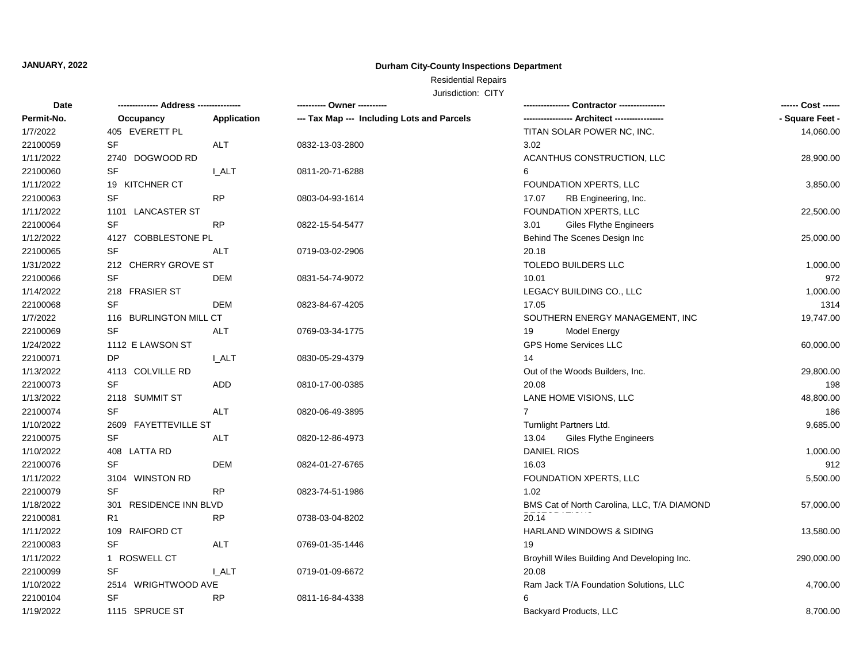## Residential Repairs

| Permit-No.<br>--- Tax Map --- Including Lots and Parcels<br>Occupancy<br>Application      | - Square Feet - |
|-------------------------------------------------------------------------------------------|-----------------|
|                                                                                           |                 |
| 405 EVERETT PL<br>TITAN SOLAR POWER NC, INC.<br>1/7/2022                                  | 14,060.00       |
| 22100059<br><b>SF</b><br>ALT<br>3.02<br>0832-13-03-2800                                   |                 |
| 1/11/2022<br>ACANTHUS CONSTRUCTION, LLC<br>2740 DOGWOOD RD                                | 28,900.00       |
| 22100060<br><b>SF</b><br>I ALT<br>6<br>0811-20-71-6288                                    |                 |
| 1/11/2022<br>19 KITCHNER CT<br>FOUNDATION XPERTS, LLC                                     | 3,850.00        |
| 22100063<br><b>SF</b><br><b>RP</b><br>0803-04-93-1614<br>17.07<br>RB Engineering, Inc.    |                 |
| 1/11/2022<br>FOUNDATION XPERTS, LLC<br>1101 LANCASTER ST                                  | 22,500.00       |
| 22100064<br>SF<br><b>RP</b><br><b>Giles Flythe Engineers</b><br>0822-15-54-5477<br>3.01   |                 |
| 1/12/2022<br>4127 COBBLESTONE PL<br>Behind The Scenes Design Inc                          | 25,000.00       |
| 22100065<br>SF<br>ALT<br>0719-03-02-2906<br>20.18                                         |                 |
| 1/31/2022<br>212 CHERRY GROVE ST<br>TOLEDO BUILDERS LLC                                   | 1,000.00        |
| SF<br>22100066<br><b>DEM</b><br>10.01<br>0831-54-74-9072                                  | 972             |
| 1/14/2022<br>218 FRASIER ST<br>LEGACY BUILDING CO., LLC                                   | 1,000.00        |
| SF<br>22100068<br><b>DEM</b><br>0823-84-67-4205<br>17.05                                  | 1314            |
| 1/7/2022<br>116 BURLINGTON MILL CT<br>SOUTHERN ENERGY MANAGEMENT, INC                     | 19,747.00       |
| 22100069<br><b>SF</b><br><b>ALT</b><br>0769-03-34-1775<br>19<br>Model Energy              |                 |
| 1/24/2022<br><b>GPS Home Services LLC</b><br>1112 E LAWSON ST                             | 60,000.00       |
| 22100071<br>DP<br><b>LALT</b><br>0830-05-29-4379<br>14                                    |                 |
| 1/13/2022<br>4113 COLVILLE RD<br>Out of the Woods Builders, Inc.                          | 29,800.00       |
| 22100073<br><b>SF</b><br><b>ADD</b><br>20.08<br>0810-17-00-0385                           | 198             |
| 1/13/2022<br>2118 SUMMIT ST<br>LANE HOME VISIONS, LLC                                     | 48,800.00       |
| <b>SF</b><br>22100074<br>ALT<br>$\overline{7}$<br>0820-06-49-3895                         | 186             |
| 1/10/2022<br>2609 FAYETTEVILLE ST<br>Turnlight Partners Ltd.                              | 9,685.00        |
| SF<br>22100075<br><b>ALT</b><br><b>Giles Flythe Engineers</b><br>0820-12-86-4973<br>13.04 |                 |
| 1/10/2022<br><b>DANIEL RIOS</b><br>408 LATTA RD                                           | 1,000.00        |
| <b>SF</b><br>22100076<br><b>DEM</b><br>16.03<br>0824-01-27-6765                           | 912             |
| 1/11/2022<br>3104 WINSTON RD<br>FOUNDATION XPERTS, LLC                                    | 5,500.00        |
| <b>SF</b><br>22100079<br><b>RP</b><br>1.02<br>0823-74-51-1986                             |                 |
| 1/18/2022<br>RESIDENCE INN BLVD<br>BMS Cat of North Carolina, LLC, T/A DIAMOND<br>301     | 57,000.00       |
| 22100081<br><b>RP</b><br>20.14<br>R <sub>1</sub><br>0738-03-04-8202                       |                 |
| 1/11/2022<br>109 RAIFORD CT<br>HARLAND WINDOWS & SIDING                                   | 13,580.00       |
| 22100083<br><b>SF</b><br>ALT<br>19<br>0769-01-35-1446                                     |                 |
| 1/11/2022<br>1 ROSWELL CT<br>Broyhill Wiles Building And Developing Inc.                  | 290,000.00      |
| 22100099<br>SF<br>20.08<br>I ALT<br>0719-01-09-6672                                       |                 |
| 1/10/2022<br>2514 WRIGHTWOOD AVE<br>Ram Jack T/A Foundation Solutions, LLC                | 4,700.00        |
| 22100104<br><b>SF</b><br><b>RP</b><br>0811-16-84-4338<br>6                                |                 |
| 1/19/2022<br>1115 SPRUCE ST<br>Backyard Products, LLC                                     | 8,700.00        |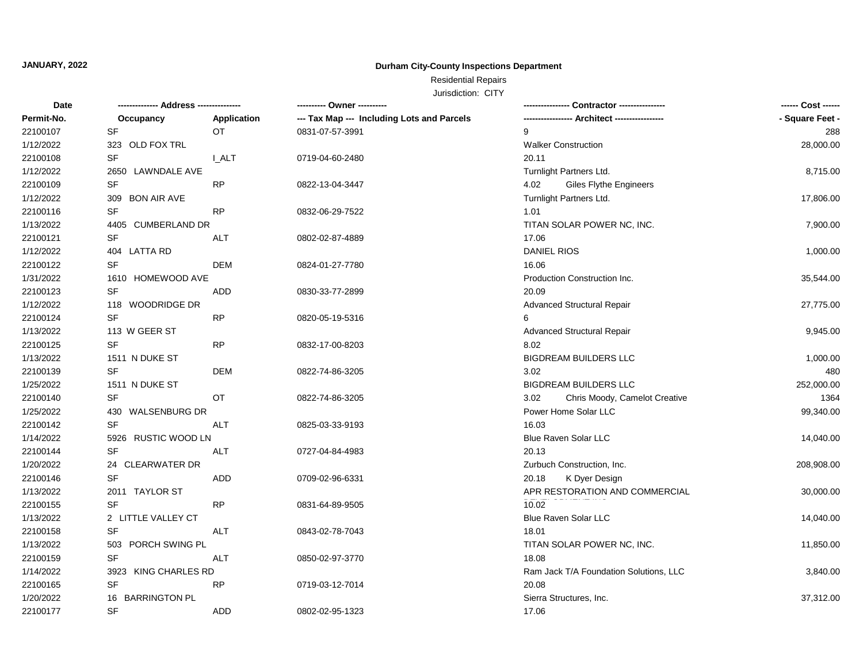## Residential Repairs

| Date       |                                   |             | ---------- Owner ----------                |                                        | ------ Cost ------ |
|------------|-----------------------------------|-------------|--------------------------------------------|----------------------------------------|--------------------|
| Permit-No. | Occupancy                         | Application | --- Tax Map --- Including Lots and Parcels |                                        | - Square Feet -    |
| 22100107   | SF                                | OT.         | 0831-07-57-3991                            | 9                                      | 288                |
| 1/12/2022  | 323 OLD FOX TRL                   |             |                                            | <b>Walker Construction</b>             | 28,000.00          |
| 22100108   | SF                                | <b>LALT</b> | 0719-04-60-2480                            | 20.11                                  |                    |
| 1/12/2022  | 2650 LAWNDALE AVE                 |             |                                            | Turnlight Partners Ltd.                | 8,715.00           |
| 22100109   | SF                                | <b>RP</b>   | 0822-13-04-3447                            | 4.02<br><b>Giles Flythe Engineers</b>  |                    |
| 1/12/2022  | 309 BON AIR AVE                   |             |                                            | Turnlight Partners Ltd.                | 17,806.00          |
| 22100116   | $\ensuremath{\mathsf{SF}}\xspace$ | <b>RP</b>   | 0832-06-29-7522                            | 1.01                                   |                    |
| 1/13/2022  | 4405 CUMBERLAND DR                |             |                                            | TITAN SOLAR POWER NC, INC.             | 7,900.00           |
| 22100121   | SF                                | <b>ALT</b>  | 0802-02-87-4889                            | 17.06                                  |                    |
| 1/12/2022  | 404 LATTA RD                      |             |                                            | <b>DANIEL RIOS</b>                     | 1,000.00           |
| 22100122   | <b>SF</b>                         | <b>DEM</b>  | 0824-01-27-7780                            | 16.06                                  |                    |
| 1/31/2022  | 1610 HOMEWOOD AVE                 |             |                                            | Production Construction Inc.           | 35,544.00          |
| 22100123   | <b>SF</b>                         | <b>ADD</b>  | 0830-33-77-2899                            | 20.09                                  |                    |
| 1/12/2022  | 118 WOODRIDGE DR                  |             |                                            | <b>Advanced Structural Repair</b>      | 27,775.00          |
| 22100124   | <b>SF</b>                         | <b>RP</b>   | 0820-05-19-5316                            | 6                                      |                    |
| 1/13/2022  | 113 W GEER ST                     |             |                                            | <b>Advanced Structural Repair</b>      | 9,945.00           |
| 22100125   | SF                                | <b>RP</b>   | 0832-17-00-8203                            | 8.02                                   |                    |
| 1/13/2022  | 1511 N DUKE ST                    |             |                                            | <b>BIGDREAM BUILDERS LLC</b>           | 1,000.00           |
| 22100139   | <b>SF</b>                         | <b>DEM</b>  | 0822-74-86-3205                            | 3.02                                   | 480                |
| 1/25/2022  | 1511 N DUKE ST                    |             |                                            | <b>BIGDREAM BUILDERS LLC</b>           | 252,000.00         |
| 22100140   | <b>SF</b>                         | OT          | 0822-74-86-3205                            | 3.02<br>Chris Moody, Camelot Creative  | 1364               |
| 1/25/2022  | 430 WALSENBURG DR                 |             |                                            | Power Home Solar LLC                   | 99,340.00          |
| 22100142   | SF                                | <b>ALT</b>  | 0825-03-33-9193                            | 16.03                                  |                    |
| 1/14/2022  | 5926 RUSTIC WOOD LN               |             |                                            | Blue Raven Solar LLC                   | 14,040.00          |
| 22100144   | SF                                | <b>ALT</b>  | 0727-04-84-4983                            | 20.13                                  |                    |
| 1/20/2022  | 24 CLEARWATER DR                  |             |                                            | Zurbuch Construction, Inc.             | 208,908.00         |
| 22100146   | <b>SF</b>                         | <b>ADD</b>  | 0709-02-96-6331                            | 20.18<br>K Dyer Design                 |                    |
| 1/13/2022  | 2011 TAYLOR ST                    |             |                                            | APR RESTORATION AND COMMERCIAL         | 30,000.00          |
| 22100155   | <b>SF</b>                         | <b>RP</b>   | 0831-64-89-9505                            | 10.02                                  |                    |
| 1/13/2022  | 2 LITTLE VALLEY CT                |             |                                            | <b>Blue Raven Solar LLC</b>            | 14,040.00          |
| 22100158   | SF                                | <b>ALT</b>  | 0843-02-78-7043                            | 18.01                                  |                    |
| 1/13/2022  | 503 PORCH SWING PL                |             |                                            | TITAN SOLAR POWER NC, INC.             | 11,850.00          |
| 22100159   | SF                                | <b>ALT</b>  | 0850-02-97-3770                            | 18.08                                  |                    |
| 1/14/2022  | 3923 KING CHARLES RD              |             |                                            | Ram Jack T/A Foundation Solutions, LLC | 3,840.00           |
| 22100165   | SF                                | <b>RP</b>   | 0719-03-12-7014                            | 20.08                                  |                    |
| 1/20/2022  | 16 BARRINGTON PL                  |             |                                            | Sierra Structures, Inc.                | 37,312.00          |
| 22100177   | <b>SF</b>                         | <b>ADD</b>  | 0802-02-95-1323                            | 17.06                                  |                    |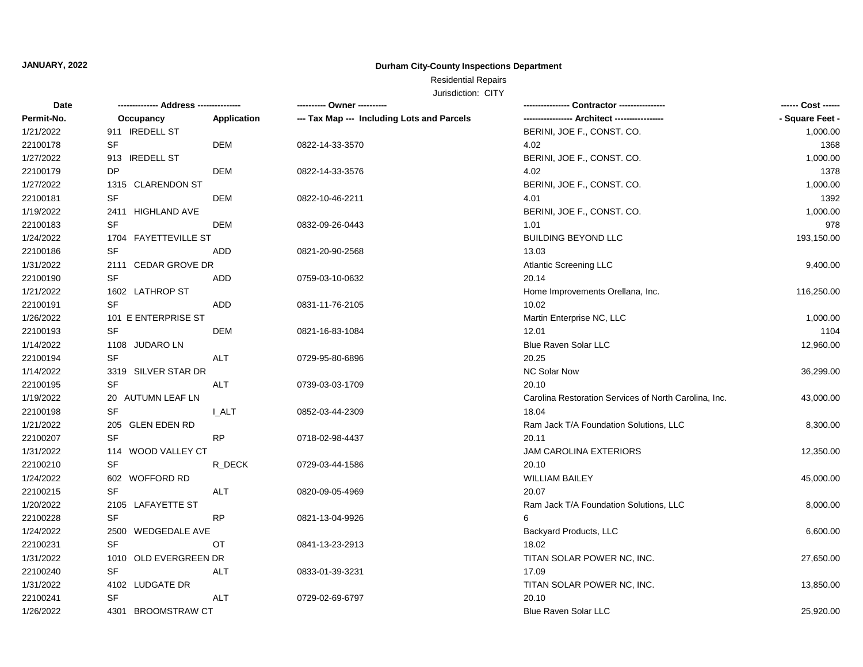## Residential Repairs

| Permit-No.<br>Occupancy<br>Application<br>--- Tax Map --- Including Lots and Parcels<br>1/21/2022<br>911 IREDELL ST<br>BERINI, JOE F., CONST. CO.<br>SF<br>DEM<br>1368<br>22100178<br>0822-14-33-3570<br>4.02<br>1/27/2022<br>913 IREDELL ST<br>BERINI, JOE F., CONST. CO.<br>1,000.00<br>DP<br><b>DEM</b><br>1378<br>22100179<br>0822-14-33-3576<br>4.02<br>1/27/2022<br>BERINI, JOE F., CONST. CO.<br>1,000.00<br>1315 CLARENDON ST<br>SF<br>1392<br>22100181<br>DEM<br>4.01<br>0822-10-46-2211<br>1/19/2022<br>1,000.00<br>2411 HIGHLAND AVE<br>BERINI, JOE F., CONST. CO.<br><b>SF</b><br>22100183<br><b>DEM</b><br>1.01<br>978<br>0832-09-26-0443<br>1/24/2022<br><b>BUILDING BEYOND LLC</b><br>193,150.00<br>1704 FAYETTEVILLE ST<br><b>SF</b><br>22100186<br>ADD<br>13.03<br>0821-20-90-2568<br>1/31/2022<br>2111 CEDAR GROVE DR<br><b>Atlantic Screening LLC</b><br>9,400.00<br>22100190<br><b>SF</b><br><b>ADD</b><br>20.14<br>0759-03-10-0632<br>1/21/2022<br>1602 LATHROP ST<br>Home Improvements Orellana, Inc.<br>116,250.00<br>22100191<br><b>SF</b><br><b>ADD</b><br>10.02<br>0831-11-76-2105<br>1/26/2022<br>1,000.00<br>101 E ENTERPRISE ST<br>Martin Enterprise NC, LLC<br>22100193<br><b>SF</b><br><b>DEM</b><br>1104<br>0821-16-83-1084<br>12.01<br>1/14/2022<br>1108 JUDARO LN<br><b>Blue Raven Solar LLC</b><br>12,960.00<br><b>SF</b><br>22100194<br><b>ALT</b><br>20.25<br>0729-95-80-6896<br>1/14/2022<br>3319 SILVER STAR DR<br><b>NC Solar Now</b><br>36,299.00<br>SF<br>22100195<br>20.10<br>ALT<br>0739-03-03-1709<br>1/19/2022<br>20 AUTUMN LEAF LN<br>Carolina Restoration Services of North Carolina, Inc.<br>43,000.00<br><b>SF</b><br>22100198<br>18.04<br>I ALT<br>0852-03-44-2309<br>1/21/2022<br>205 GLEN EDEN RD<br>Ram Jack T/A Foundation Solutions, LLC<br>8,300.00<br><b>SF</b><br>22100207<br>20.11<br><b>RP</b><br>0718-02-98-4437<br>1/31/2022<br>114 WOOD VALLEY CT<br><b>JAM CAROLINA EXTERIORS</b><br>12,350.00<br>22100210<br><b>SF</b><br>R DECK<br>20.10<br>0729-03-44-1586<br>1/24/2022<br>602 WOFFORD RD<br><b>WILLIAM BAILEY</b><br>45,000.00<br>22100215<br>SF<br>ALT<br>0820-09-05-4969<br>20.07<br>1/20/2022<br>2105 LAFAYETTE ST<br>Ram Jack T/A Foundation Solutions, LLC<br>8,000.00<br>22100228<br>SF<br><b>RP</b><br>6<br>0821-13-04-9926<br>1/24/2022<br>2500 WEDGEDALE AVE<br>Backyard Products, LLC<br>6,600.00<br>22100231<br><b>SF</b><br>OT<br>0841-13-23-2913<br>18.02<br>1/31/2022<br>1010 OLD EVERGREEN DR<br>TITAN SOLAR POWER NC, INC.<br>27,650.00<br>22100240<br>SF<br>ALT<br>17.09<br>0833-01-39-3231<br>1/31/2022<br>4102 LUDGATE DR<br>TITAN SOLAR POWER NC, INC.<br>13,850.00<br>SF<br>22100241<br><b>ALT</b><br>20.10<br>0729-02-69-6797<br>1/26/2022<br>4301 BROOMSTRAW CT<br><b>Blue Raven Solar LLC</b><br>25,920.00 | Date |  | ---------- Owner ---------- | ------ Cost ------ |
|---------------------------------------------------------------------------------------------------------------------------------------------------------------------------------------------------------------------------------------------------------------------------------------------------------------------------------------------------------------------------------------------------------------------------------------------------------------------------------------------------------------------------------------------------------------------------------------------------------------------------------------------------------------------------------------------------------------------------------------------------------------------------------------------------------------------------------------------------------------------------------------------------------------------------------------------------------------------------------------------------------------------------------------------------------------------------------------------------------------------------------------------------------------------------------------------------------------------------------------------------------------------------------------------------------------------------------------------------------------------------------------------------------------------------------------------------------------------------------------------------------------------------------------------------------------------------------------------------------------------------------------------------------------------------------------------------------------------------------------------------------------------------------------------------------------------------------------------------------------------------------------------------------------------------------------------------------------------------------------------------------------------------------------------------------------------------------------------------------------------------------------------------------------------------------------------------------------------------------------------------------------------------------------------------------------------------------------------------------------------------------------------------------------------------------------------------------------------------------------------------------------------------------------------------------------------------------------------------------------------------------------------------------------------------------------------------------------------------------------------------------------------------------------------------------|------|--|-----------------------------|--------------------|
|                                                                                                                                                                                                                                                                                                                                                                                                                                                                                                                                                                                                                                                                                                                                                                                                                                                                                                                                                                                                                                                                                                                                                                                                                                                                                                                                                                                                                                                                                                                                                                                                                                                                                                                                                                                                                                                                                                                                                                                                                                                                                                                                                                                                                                                                                                                                                                                                                                                                                                                                                                                                                                                                                                                                                                                                         |      |  |                             | - Square Feet -    |
|                                                                                                                                                                                                                                                                                                                                                                                                                                                                                                                                                                                                                                                                                                                                                                                                                                                                                                                                                                                                                                                                                                                                                                                                                                                                                                                                                                                                                                                                                                                                                                                                                                                                                                                                                                                                                                                                                                                                                                                                                                                                                                                                                                                                                                                                                                                                                                                                                                                                                                                                                                                                                                                                                                                                                                                                         |      |  |                             | 1,000.00           |
|                                                                                                                                                                                                                                                                                                                                                                                                                                                                                                                                                                                                                                                                                                                                                                                                                                                                                                                                                                                                                                                                                                                                                                                                                                                                                                                                                                                                                                                                                                                                                                                                                                                                                                                                                                                                                                                                                                                                                                                                                                                                                                                                                                                                                                                                                                                                                                                                                                                                                                                                                                                                                                                                                                                                                                                                         |      |  |                             |                    |
|                                                                                                                                                                                                                                                                                                                                                                                                                                                                                                                                                                                                                                                                                                                                                                                                                                                                                                                                                                                                                                                                                                                                                                                                                                                                                                                                                                                                                                                                                                                                                                                                                                                                                                                                                                                                                                                                                                                                                                                                                                                                                                                                                                                                                                                                                                                                                                                                                                                                                                                                                                                                                                                                                                                                                                                                         |      |  |                             |                    |
|                                                                                                                                                                                                                                                                                                                                                                                                                                                                                                                                                                                                                                                                                                                                                                                                                                                                                                                                                                                                                                                                                                                                                                                                                                                                                                                                                                                                                                                                                                                                                                                                                                                                                                                                                                                                                                                                                                                                                                                                                                                                                                                                                                                                                                                                                                                                                                                                                                                                                                                                                                                                                                                                                                                                                                                                         |      |  |                             |                    |
|                                                                                                                                                                                                                                                                                                                                                                                                                                                                                                                                                                                                                                                                                                                                                                                                                                                                                                                                                                                                                                                                                                                                                                                                                                                                                                                                                                                                                                                                                                                                                                                                                                                                                                                                                                                                                                                                                                                                                                                                                                                                                                                                                                                                                                                                                                                                                                                                                                                                                                                                                                                                                                                                                                                                                                                                         |      |  |                             |                    |
|                                                                                                                                                                                                                                                                                                                                                                                                                                                                                                                                                                                                                                                                                                                                                                                                                                                                                                                                                                                                                                                                                                                                                                                                                                                                                                                                                                                                                                                                                                                                                                                                                                                                                                                                                                                                                                                                                                                                                                                                                                                                                                                                                                                                                                                                                                                                                                                                                                                                                                                                                                                                                                                                                                                                                                                                         |      |  |                             |                    |
|                                                                                                                                                                                                                                                                                                                                                                                                                                                                                                                                                                                                                                                                                                                                                                                                                                                                                                                                                                                                                                                                                                                                                                                                                                                                                                                                                                                                                                                                                                                                                                                                                                                                                                                                                                                                                                                                                                                                                                                                                                                                                                                                                                                                                                                                                                                                                                                                                                                                                                                                                                                                                                                                                                                                                                                                         |      |  |                             |                    |
|                                                                                                                                                                                                                                                                                                                                                                                                                                                                                                                                                                                                                                                                                                                                                                                                                                                                                                                                                                                                                                                                                                                                                                                                                                                                                                                                                                                                                                                                                                                                                                                                                                                                                                                                                                                                                                                                                                                                                                                                                                                                                                                                                                                                                                                                                                                                                                                                                                                                                                                                                                                                                                                                                                                                                                                                         |      |  |                             |                    |
|                                                                                                                                                                                                                                                                                                                                                                                                                                                                                                                                                                                                                                                                                                                                                                                                                                                                                                                                                                                                                                                                                                                                                                                                                                                                                                                                                                                                                                                                                                                                                                                                                                                                                                                                                                                                                                                                                                                                                                                                                                                                                                                                                                                                                                                                                                                                                                                                                                                                                                                                                                                                                                                                                                                                                                                                         |      |  |                             |                    |
|                                                                                                                                                                                                                                                                                                                                                                                                                                                                                                                                                                                                                                                                                                                                                                                                                                                                                                                                                                                                                                                                                                                                                                                                                                                                                                                                                                                                                                                                                                                                                                                                                                                                                                                                                                                                                                                                                                                                                                                                                                                                                                                                                                                                                                                                                                                                                                                                                                                                                                                                                                                                                                                                                                                                                                                                         |      |  |                             |                    |
|                                                                                                                                                                                                                                                                                                                                                                                                                                                                                                                                                                                                                                                                                                                                                                                                                                                                                                                                                                                                                                                                                                                                                                                                                                                                                                                                                                                                                                                                                                                                                                                                                                                                                                                                                                                                                                                                                                                                                                                                                                                                                                                                                                                                                                                                                                                                                                                                                                                                                                                                                                                                                                                                                                                                                                                                         |      |  |                             |                    |
|                                                                                                                                                                                                                                                                                                                                                                                                                                                                                                                                                                                                                                                                                                                                                                                                                                                                                                                                                                                                                                                                                                                                                                                                                                                                                                                                                                                                                                                                                                                                                                                                                                                                                                                                                                                                                                                                                                                                                                                                                                                                                                                                                                                                                                                                                                                                                                                                                                                                                                                                                                                                                                                                                                                                                                                                         |      |  |                             |                    |
|                                                                                                                                                                                                                                                                                                                                                                                                                                                                                                                                                                                                                                                                                                                                                                                                                                                                                                                                                                                                                                                                                                                                                                                                                                                                                                                                                                                                                                                                                                                                                                                                                                                                                                                                                                                                                                                                                                                                                                                                                                                                                                                                                                                                                                                                                                                                                                                                                                                                                                                                                                                                                                                                                                                                                                                                         |      |  |                             |                    |
|                                                                                                                                                                                                                                                                                                                                                                                                                                                                                                                                                                                                                                                                                                                                                                                                                                                                                                                                                                                                                                                                                                                                                                                                                                                                                                                                                                                                                                                                                                                                                                                                                                                                                                                                                                                                                                                                                                                                                                                                                                                                                                                                                                                                                                                                                                                                                                                                                                                                                                                                                                                                                                                                                                                                                                                                         |      |  |                             |                    |
|                                                                                                                                                                                                                                                                                                                                                                                                                                                                                                                                                                                                                                                                                                                                                                                                                                                                                                                                                                                                                                                                                                                                                                                                                                                                                                                                                                                                                                                                                                                                                                                                                                                                                                                                                                                                                                                                                                                                                                                                                                                                                                                                                                                                                                                                                                                                                                                                                                                                                                                                                                                                                                                                                                                                                                                                         |      |  |                             |                    |
|                                                                                                                                                                                                                                                                                                                                                                                                                                                                                                                                                                                                                                                                                                                                                                                                                                                                                                                                                                                                                                                                                                                                                                                                                                                                                                                                                                                                                                                                                                                                                                                                                                                                                                                                                                                                                                                                                                                                                                                                                                                                                                                                                                                                                                                                                                                                                                                                                                                                                                                                                                                                                                                                                                                                                                                                         |      |  |                             |                    |
|                                                                                                                                                                                                                                                                                                                                                                                                                                                                                                                                                                                                                                                                                                                                                                                                                                                                                                                                                                                                                                                                                                                                                                                                                                                                                                                                                                                                                                                                                                                                                                                                                                                                                                                                                                                                                                                                                                                                                                                                                                                                                                                                                                                                                                                                                                                                                                                                                                                                                                                                                                                                                                                                                                                                                                                                         |      |  |                             |                    |
|                                                                                                                                                                                                                                                                                                                                                                                                                                                                                                                                                                                                                                                                                                                                                                                                                                                                                                                                                                                                                                                                                                                                                                                                                                                                                                                                                                                                                                                                                                                                                                                                                                                                                                                                                                                                                                                                                                                                                                                                                                                                                                                                                                                                                                                                                                                                                                                                                                                                                                                                                                                                                                                                                                                                                                                                         |      |  |                             |                    |
|                                                                                                                                                                                                                                                                                                                                                                                                                                                                                                                                                                                                                                                                                                                                                                                                                                                                                                                                                                                                                                                                                                                                                                                                                                                                                                                                                                                                                                                                                                                                                                                                                                                                                                                                                                                                                                                                                                                                                                                                                                                                                                                                                                                                                                                                                                                                                                                                                                                                                                                                                                                                                                                                                                                                                                                                         |      |  |                             |                    |
|                                                                                                                                                                                                                                                                                                                                                                                                                                                                                                                                                                                                                                                                                                                                                                                                                                                                                                                                                                                                                                                                                                                                                                                                                                                                                                                                                                                                                                                                                                                                                                                                                                                                                                                                                                                                                                                                                                                                                                                                                                                                                                                                                                                                                                                                                                                                                                                                                                                                                                                                                                                                                                                                                                                                                                                                         |      |  |                             |                    |
|                                                                                                                                                                                                                                                                                                                                                                                                                                                                                                                                                                                                                                                                                                                                                                                                                                                                                                                                                                                                                                                                                                                                                                                                                                                                                                                                                                                                                                                                                                                                                                                                                                                                                                                                                                                                                                                                                                                                                                                                                                                                                                                                                                                                                                                                                                                                                                                                                                                                                                                                                                                                                                                                                                                                                                                                         |      |  |                             |                    |
|                                                                                                                                                                                                                                                                                                                                                                                                                                                                                                                                                                                                                                                                                                                                                                                                                                                                                                                                                                                                                                                                                                                                                                                                                                                                                                                                                                                                                                                                                                                                                                                                                                                                                                                                                                                                                                                                                                                                                                                                                                                                                                                                                                                                                                                                                                                                                                                                                                                                                                                                                                                                                                                                                                                                                                                                         |      |  |                             |                    |
|                                                                                                                                                                                                                                                                                                                                                                                                                                                                                                                                                                                                                                                                                                                                                                                                                                                                                                                                                                                                                                                                                                                                                                                                                                                                                                                                                                                                                                                                                                                                                                                                                                                                                                                                                                                                                                                                                                                                                                                                                                                                                                                                                                                                                                                                                                                                                                                                                                                                                                                                                                                                                                                                                                                                                                                                         |      |  |                             |                    |
|                                                                                                                                                                                                                                                                                                                                                                                                                                                                                                                                                                                                                                                                                                                                                                                                                                                                                                                                                                                                                                                                                                                                                                                                                                                                                                                                                                                                                                                                                                                                                                                                                                                                                                                                                                                                                                                                                                                                                                                                                                                                                                                                                                                                                                                                                                                                                                                                                                                                                                                                                                                                                                                                                                                                                                                                         |      |  |                             |                    |
|                                                                                                                                                                                                                                                                                                                                                                                                                                                                                                                                                                                                                                                                                                                                                                                                                                                                                                                                                                                                                                                                                                                                                                                                                                                                                                                                                                                                                                                                                                                                                                                                                                                                                                                                                                                                                                                                                                                                                                                                                                                                                                                                                                                                                                                                                                                                                                                                                                                                                                                                                                                                                                                                                                                                                                                                         |      |  |                             |                    |
|                                                                                                                                                                                                                                                                                                                                                                                                                                                                                                                                                                                                                                                                                                                                                                                                                                                                                                                                                                                                                                                                                                                                                                                                                                                                                                                                                                                                                                                                                                                                                                                                                                                                                                                                                                                                                                                                                                                                                                                                                                                                                                                                                                                                                                                                                                                                                                                                                                                                                                                                                                                                                                                                                                                                                                                                         |      |  |                             |                    |
|                                                                                                                                                                                                                                                                                                                                                                                                                                                                                                                                                                                                                                                                                                                                                                                                                                                                                                                                                                                                                                                                                                                                                                                                                                                                                                                                                                                                                                                                                                                                                                                                                                                                                                                                                                                                                                                                                                                                                                                                                                                                                                                                                                                                                                                                                                                                                                                                                                                                                                                                                                                                                                                                                                                                                                                                         |      |  |                             |                    |
|                                                                                                                                                                                                                                                                                                                                                                                                                                                                                                                                                                                                                                                                                                                                                                                                                                                                                                                                                                                                                                                                                                                                                                                                                                                                                                                                                                                                                                                                                                                                                                                                                                                                                                                                                                                                                                                                                                                                                                                                                                                                                                                                                                                                                                                                                                                                                                                                                                                                                                                                                                                                                                                                                                                                                                                                         |      |  |                             |                    |
|                                                                                                                                                                                                                                                                                                                                                                                                                                                                                                                                                                                                                                                                                                                                                                                                                                                                                                                                                                                                                                                                                                                                                                                                                                                                                                                                                                                                                                                                                                                                                                                                                                                                                                                                                                                                                                                                                                                                                                                                                                                                                                                                                                                                                                                                                                                                                                                                                                                                                                                                                                                                                                                                                                                                                                                                         |      |  |                             |                    |
|                                                                                                                                                                                                                                                                                                                                                                                                                                                                                                                                                                                                                                                                                                                                                                                                                                                                                                                                                                                                                                                                                                                                                                                                                                                                                                                                                                                                                                                                                                                                                                                                                                                                                                                                                                                                                                                                                                                                                                                                                                                                                                                                                                                                                                                                                                                                                                                                                                                                                                                                                                                                                                                                                                                                                                                                         |      |  |                             |                    |
|                                                                                                                                                                                                                                                                                                                                                                                                                                                                                                                                                                                                                                                                                                                                                                                                                                                                                                                                                                                                                                                                                                                                                                                                                                                                                                                                                                                                                                                                                                                                                                                                                                                                                                                                                                                                                                                                                                                                                                                                                                                                                                                                                                                                                                                                                                                                                                                                                                                                                                                                                                                                                                                                                                                                                                                                         |      |  |                             |                    |
|                                                                                                                                                                                                                                                                                                                                                                                                                                                                                                                                                                                                                                                                                                                                                                                                                                                                                                                                                                                                                                                                                                                                                                                                                                                                                                                                                                                                                                                                                                                                                                                                                                                                                                                                                                                                                                                                                                                                                                                                                                                                                                                                                                                                                                                                                                                                                                                                                                                                                                                                                                                                                                                                                                                                                                                                         |      |  |                             |                    |
|                                                                                                                                                                                                                                                                                                                                                                                                                                                                                                                                                                                                                                                                                                                                                                                                                                                                                                                                                                                                                                                                                                                                                                                                                                                                                                                                                                                                                                                                                                                                                                                                                                                                                                                                                                                                                                                                                                                                                                                                                                                                                                                                                                                                                                                                                                                                                                                                                                                                                                                                                                                                                                                                                                                                                                                                         |      |  |                             |                    |
|                                                                                                                                                                                                                                                                                                                                                                                                                                                                                                                                                                                                                                                                                                                                                                                                                                                                                                                                                                                                                                                                                                                                                                                                                                                                                                                                                                                                                                                                                                                                                                                                                                                                                                                                                                                                                                                                                                                                                                                                                                                                                                                                                                                                                                                                                                                                                                                                                                                                                                                                                                                                                                                                                                                                                                                                         |      |  |                             |                    |
|                                                                                                                                                                                                                                                                                                                                                                                                                                                                                                                                                                                                                                                                                                                                                                                                                                                                                                                                                                                                                                                                                                                                                                                                                                                                                                                                                                                                                                                                                                                                                                                                                                                                                                                                                                                                                                                                                                                                                                                                                                                                                                                                                                                                                                                                                                                                                                                                                                                                                                                                                                                                                                                                                                                                                                                                         |      |  |                             |                    |
|                                                                                                                                                                                                                                                                                                                                                                                                                                                                                                                                                                                                                                                                                                                                                                                                                                                                                                                                                                                                                                                                                                                                                                                                                                                                                                                                                                                                                                                                                                                                                                                                                                                                                                                                                                                                                                                                                                                                                                                                                                                                                                                                                                                                                                                                                                                                                                                                                                                                                                                                                                                                                                                                                                                                                                                                         |      |  |                             |                    |
|                                                                                                                                                                                                                                                                                                                                                                                                                                                                                                                                                                                                                                                                                                                                                                                                                                                                                                                                                                                                                                                                                                                                                                                                                                                                                                                                                                                                                                                                                                                                                                                                                                                                                                                                                                                                                                                                                                                                                                                                                                                                                                                                                                                                                                                                                                                                                                                                                                                                                                                                                                                                                                                                                                                                                                                                         |      |  |                             |                    |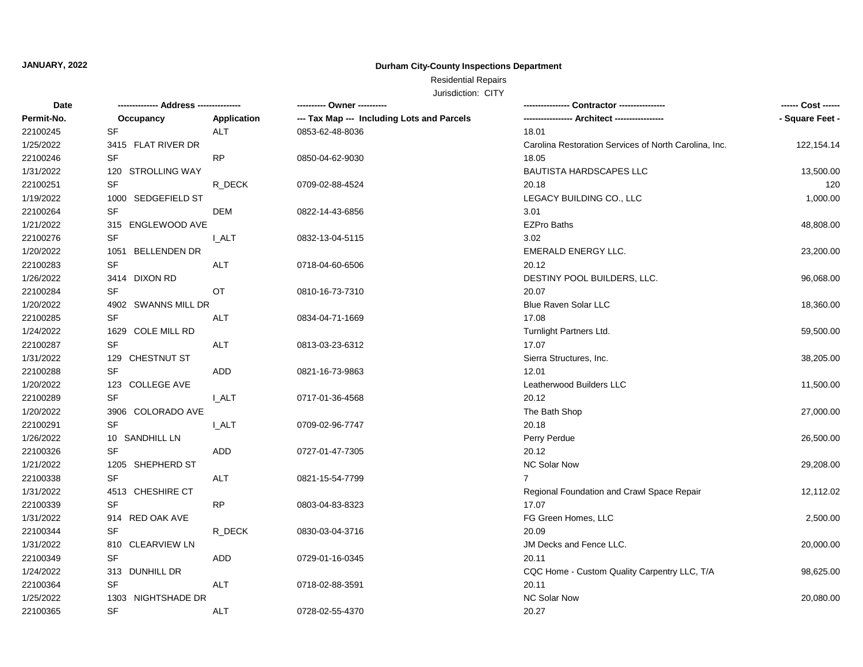## Residential Repairs

| Date       | -------------- Address --------------- |              | ---------- Owner ----------                |                                                       | ------ Cost ------ |
|------------|----------------------------------------|--------------|--------------------------------------------|-------------------------------------------------------|--------------------|
| Permit-No. | Occupancy                              | Application  | --- Tax Map --- Including Lots and Parcels | -- Architect -----------------                        | - Square Feet -    |
| 22100245   | <b>SF</b>                              | <b>ALT</b>   | 0853-62-48-8036                            | 18.01                                                 |                    |
| 1/25/2022  | 3415 FLAT RIVER DR                     |              |                                            | Carolina Restoration Services of North Carolina, Inc. | 122, 154. 14       |
| 22100246   | SF                                     | RP           | 0850-04-62-9030                            | 18.05                                                 |                    |
| 1/31/2022  | 120 STROLLING WAY                      |              |                                            | BAUTISTA HARDSCAPES LLC                               | 13,500.00          |
| 22100251   | <b>SF</b>                              | R DECK       | 0709-02-88-4524                            | 20.18                                                 | 120                |
| 1/19/2022  | 1000 SEDGEFIELD ST                     |              |                                            | LEGACY BUILDING CO., LLC                              | 1,000.00           |
| 22100264   | SF                                     | <b>DEM</b>   | 0822-14-43-6856                            | 3.01                                                  |                    |
| 1/21/2022  | 315 ENGLEWOOD AVE                      |              |                                            | <b>EZPro Baths</b>                                    | 48,808.00          |
| 22100276   | SF                                     | <b>I_ALT</b> | 0832-13-04-5115                            | 3.02                                                  |                    |
| 1/20/2022  | 1051 BELLENDEN DR                      |              |                                            | EMERALD ENERGY LLC.                                   | 23,200.00          |
| 22100283   | SF                                     | <b>ALT</b>   | 0718-04-60-6506                            | 20.12                                                 |                    |
| 1/26/2022  | 3414 DIXON RD                          |              |                                            | DESTINY POOL BUILDERS, LLC.                           | 96,068.00          |
| 22100284   | SF                                     | OT           | 0810-16-73-7310                            | 20.07                                                 |                    |
| 1/20/2022  | 4902 SWANNS MILL DR                    |              |                                            | <b>Blue Raven Solar LLC</b>                           | 18,360.00          |
| 22100285   | <b>SF</b>                              | <b>ALT</b>   | 0834-04-71-1669                            | 17.08                                                 |                    |
| 1/24/2022  | 1629 COLE MILL RD                      |              |                                            | Turnlight Partners Ltd.                               | 59,500.00          |
| 22100287   | SF                                     | ALT          | 0813-03-23-6312                            | 17.07                                                 |                    |
| 1/31/2022  | 129 CHESTNUT ST                        |              |                                            | Sierra Structures, Inc.                               | 38,205.00          |
| 22100288   | <b>SF</b>                              | ADD          | 0821-16-73-9863                            | 12.01                                                 |                    |
| 1/20/2022  | 123 COLLEGE AVE                        |              |                                            | Leatherwood Builders LLC                              | 11,500.00          |
| 22100289   | <b>SF</b>                              | <b>LALT</b>  | 0717-01-36-4568                            | 20.12                                                 |                    |
| 1/20/2022  | 3906 COLORADO AVE                      |              |                                            | The Bath Shop                                         | 27,000.00          |
| 22100291   | <b>SF</b>                              | <b>I_ALT</b> | 0709-02-96-7747                            | 20.18                                                 |                    |
| 1/26/2022  | 10 SANDHILL LN                         |              |                                            | Perry Perdue                                          | 26,500.00          |
| 22100326   | <b>SF</b>                              | ADD          | 0727-01-47-7305                            | 20.12                                                 |                    |
| 1/21/2022  | 1205 SHEPHERD ST                       |              |                                            | NC Solar Now                                          | 29,208.00          |
| 22100338   | <b>SF</b>                              | ALT          | 0821-15-54-7799                            | $\overline{7}$                                        |                    |
| 1/31/2022  | 4513 CHESHIRE CT                       |              |                                            | Regional Foundation and Crawl Space Repair            | 12,112.02          |
| 22100339   | <b>SF</b>                              | RP           | 0803-04-83-8323                            | 17.07                                                 |                    |
| 1/31/2022  | 914 RED OAK AVE                        |              |                                            | FG Green Homes, LLC                                   | 2,500.00           |
| 22100344   | SF                                     | R_DECK       | 0830-03-04-3716                            | 20.09                                                 |                    |
| 1/31/2022  | 810 CLEARVIEW LN                       |              |                                            | JM Decks and Fence LLC.                               | 20,000.00          |
| 22100349   | SF                                     | ADD          | 0729-01-16-0345                            | 20.11                                                 |                    |
| 1/24/2022  | 313 DUNHILL DR                         |              |                                            | CQC Home - Custom Quality Carpentry LLC, T/A          | 98,625.00          |
| 22100364   | SF                                     | <b>ALT</b>   | 0718-02-88-3591                            | 20.11                                                 |                    |
| 1/25/2022  | 1303 NIGHTSHADE DR                     |              |                                            | <b>NC Solar Now</b>                                   | 20,080.00          |
| 22100365   | <b>SF</b>                              | <b>ALT</b>   | 0728-02-55-4370                            | 20.27                                                 |                    |